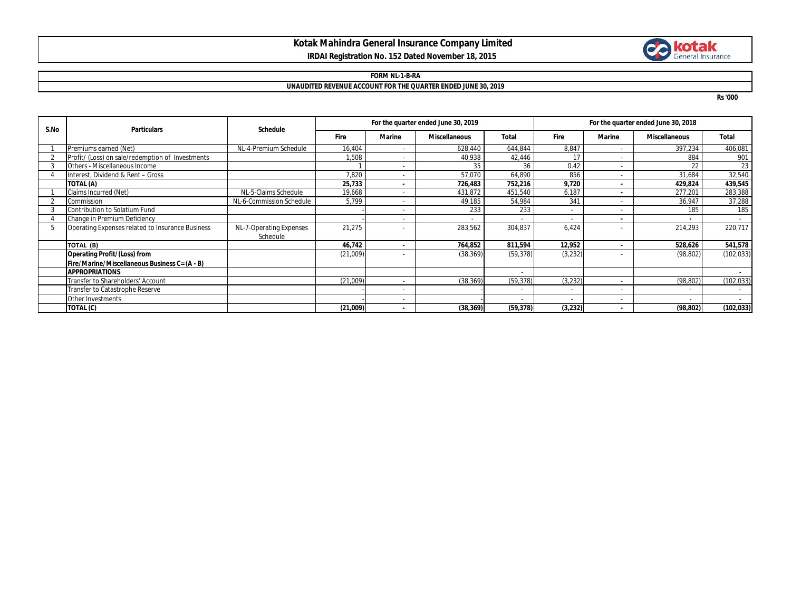## **Kotak Mahindra General Insurance Company Limited IRDAI Registration No. 152 Dated November 18, 2015**



## **FORM NL-1-B-RA UNAUDITED REVENUE ACCOUNT FOR THE QUARTER ENDED JUNE 30, 2019**

**Rs '000**

| S.No | <b>Particulars</b>                               | <b>Schedule</b>          | For the quarter ended June 30, 2019 |                          |                      |                          | For the quarter ended June 30, 2018 |               |                          |                          |
|------|--------------------------------------------------|--------------------------|-------------------------------------|--------------------------|----------------------|--------------------------|-------------------------------------|---------------|--------------------------|--------------------------|
|      |                                                  |                          | Fire                                | Marine                   | <b>Miscellaneous</b> | <b>Total</b>             | <b>Fire</b>                         | <b>Marine</b> | <b>Miscellaneous</b>     | Total                    |
|      | Premiums earned (Net)                            | NL-4-Premium Schedule    | 16,404                              | $\sim$                   | 628,440              | 644,844                  | 8,847                               |               | 397,234                  | 406,081                  |
|      | Profit/ (Loss) on sale/redemption of Investments |                          | 1,508                               | $\sim$                   | 40,938               | 42,446                   | 17                                  |               | 884                      | 901                      |
|      | Others - Miscellaneous Income                    |                          |                                     | $\overline{\phantom{a}}$ | 35                   | 36                       | 0.42                                |               | 22                       | 23                       |
|      | Interest, Dividend & Rent - Gross                |                          | 7,820                               | $\sim$                   | 57,070               | 64,890                   | 856                                 |               | 31,684                   | 32,540                   |
|      | TOTAL (A)                                        |                          | 25,733                              | ٠                        | 726,483              | 752,216                  | 9,720                               |               | 429,824                  | 439,545                  |
|      | Claims Incurred (Net)                            | NL-5-Claims Schedule     | 19,668                              | $\overline{\phantom{a}}$ | 431,872              | 451,540                  | 6,187                               |               | 277,201                  | 283,388                  |
|      | Commission                                       | NL-6-Commission Schedule | 5,799                               | $\overline{\phantom{a}}$ | 49,185               | 54,984                   | 341                                 |               | 36,947                   | 37,288                   |
|      | Contribution to Solatium Fund                    |                          |                                     | $\sim$                   | 233                  | 233                      | $\overline{\phantom{0}}$            |               | 185                      | 185                      |
|      | Change in Premium Deficiency                     |                          |                                     | $\sim$                   |                      |                          |                                     |               |                          | $\sim$                   |
|      | Operating Expenses related to Insurance Business | NL-7-Operating Expenses  | 21,275                              | $\sim$                   | 283,562              | 304,837                  | 6.424                               |               | 214,293                  | 220,717                  |
|      |                                                  | Schedule                 |                                     |                          |                      |                          |                                     |               |                          |                          |
|      | TOTAL (B)                                        |                          | 46,742                              | $\blacksquare$           | 764,852              | 811,594                  | 12,952                              |               | 528,626                  | 541,578                  |
|      | <b>Operating Profit/(Loss) from</b>              |                          | (21,009)                            | $\overline{\phantom{a}}$ | (38, 369)            | (59, 378)                | (3,232)                             |               | (98, 802)                | (102, 033)               |
|      | Fire/Marine/Miscellaneous Business C= (A - B)    |                          |                                     |                          |                      |                          |                                     |               |                          |                          |
|      | <b>APPROPRIATIONS</b>                            |                          |                                     |                          |                      | $\overline{\phantom{a}}$ |                                     |               |                          | $\sim$                   |
|      | Transfer to Shareholders' Account                |                          | (21,009)                            | $\sim$                   | (38, 369)            | (59, 378)                | (3,232)                             |               | (98, 802)                | (102, 033)               |
|      | Transfer to Catastrophe Reserve                  |                          |                                     | $\sim$                   |                      | $\overline{\phantom{0}}$ | $\overline{\phantom{a}}$            |               | $\overline{\phantom{a}}$ | $\overline{\phantom{a}}$ |
|      | Other Investments                                |                          |                                     | $\overline{\phantom{a}}$ |                      |                          | $\overline{\phantom{0}}$            |               |                          |                          |
|      | TOTAL (C)                                        |                          | (21,009)                            | ٠                        | (38, 369)            | (59, 378)                | (3,232)                             |               | (98, 802)                | (102, 033)               |